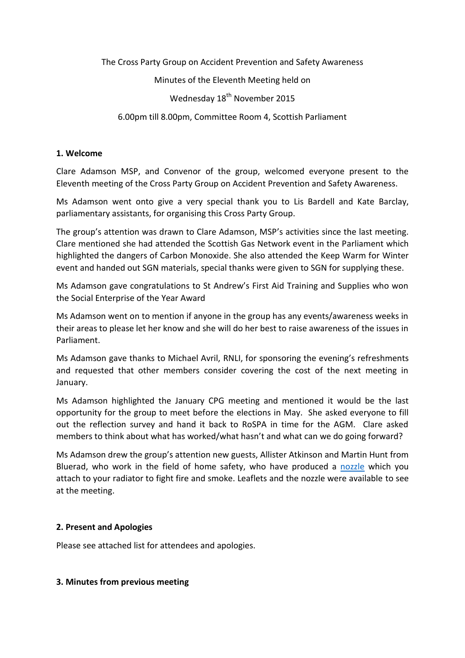The Cross Party Group on Accident Prevention and Safety Awareness

Minutes of the Eleventh Meeting held on

Wednesday 18<sup>th</sup> November 2015

6.00pm till 8.00pm, Committee Room 4, Scottish Parliament

#### **1. Welcome**

Clare Adamson MSP, and Convenor of the group, welcomed everyone present to the Eleventh meeting of the Cross Party Group on Accident Prevention and Safety Awareness.

Ms Adamson went onto give a very special thank you to Lis Bardell and Kate Barclay, parliamentary assistants, for organising this Cross Party Group.

The group's attention was drawn to Clare Adamson, MSP's activities since the last meeting. Clare mentioned she had attended the Scottish Gas Network event in the Parliament which highlighted the dangers of Carbon Monoxide. She also attended the Keep Warm for Winter event and handed out SGN materials, special thanks were given to SGN for supplying these.

Ms Adamson gave congratulations to St Andrew's First Aid Training and Supplies who won the Social Enterprise of the Year Award

Ms Adamson went on to mention if anyone in the group has any events/awareness weeks in their areas to please let her know and she will do her best to raise awareness of the issues in Parliament.

Ms Adamson gave thanks to Michael Avril, RNLI, for sponsoring the evening's refreshments and requested that other members consider covering the cost of the next meeting in January.

Ms Adamson highlighted the January CPG meeting and mentioned it would be the last opportunity for the group to meet before the elections in May. She asked everyone to fill out the reflection survey and hand it back to RoSPA in time for the AGM. Clare asked members to think about what has worked/what hasn't and what can we do going forward?

Ms Adamson drew the group's attention new guests, Allister Atkinson and Martin Hunt from Bluerad, who work in the field of home safety, who have produced a [nozzle](http://www.blueradllp.co.uk/blueproof/products/) which you attach to your radiator to fight fire and smoke. Leaflets and the nozzle were available to see at the meeting.

# **2. Present and Apologies**

Please see attached list for attendees and apologies.

#### **3. Minutes from previous meeting**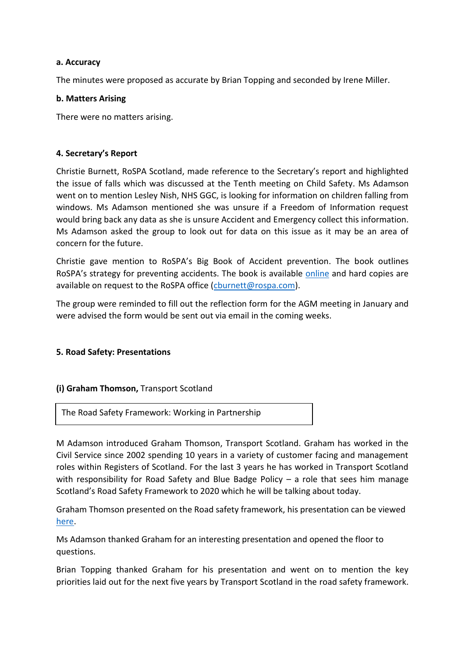#### **a. Accuracy**

The minutes were proposed as accurate by Brian Topping and seconded by Irene Miller.

#### **b. Matters Arising**

There were no matters arising.

#### **4. Secretary's Report**

Christie Burnett, RoSPA Scotland, made reference to the Secretary's report and highlighted the issue of falls which was discussed at the Tenth meeting on Child Safety. Ms Adamson went on to mention Lesley Nish, NHS GGC, is looking for information on children falling from windows. Ms Adamson mentioned she was unsure if a Freedom of Information request would bring back any data as she is unsure Accident and Emergency collect this information. Ms Adamson asked the group to look out for data on this issue as it may be an area of concern for the future.

Christie gave mention to RoSPA's Big Book of Accident prevention. The book outlines RoSPA's strategy for preventing accidents. The book is available [online](http://www.rospa.com/public-health/scotlands-big-book/) and hard copies are available on request to the RoSPA office [\(cburnett@rospa.com\)](mailto:cburnett@rospa.com).

The group were reminded to fill out the reflection form for the AGM meeting in January and were advised the form would be sent out via email in the coming weeks.

# **5. Road Safety: Presentations**

# **(i) Graham Thomson,** Transport Scotland

The Road Safety Framework: Working in Partnership

M Adamson introduced Graham Thomson, Transport Scotland. Graham has worked in the Civil Service since 2002 spending 10 years in a variety of customer facing and management roles within Registers of Scotland. For the last 3 years he has worked in Transport Scotland with responsibility for Road Safety and Blue Badge Policy  $-$  a role that sees him manage Scotland's Road Safety Framework to 2020 which he will be talking about today.

Graham Thomson presented on the Road safety framework, his presentation can be viewed [here.](http://www.rospa.com/about/around-the-uk/scotland/cross-party-group/)

Ms Adamson thanked Graham for an interesting presentation and opened the floor to questions.

Brian Topping thanked Graham for his presentation and went on to mention the key priorities laid out for the next five years by Transport Scotland in the road safety framework.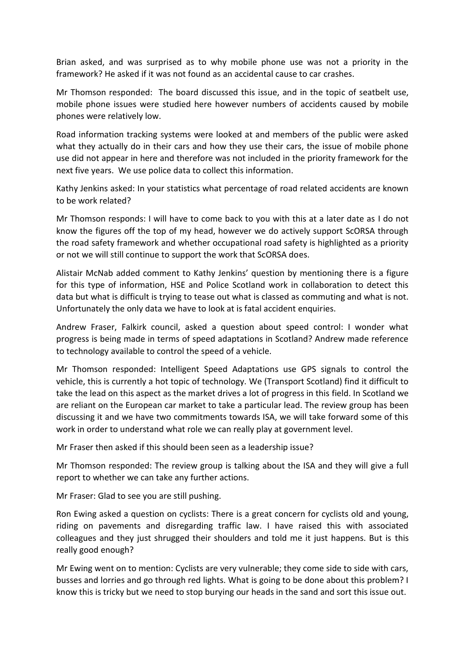Brian asked, and was surprised as to why mobile phone use was not a priority in the framework? He asked if it was not found as an accidental cause to car crashes.

Mr Thomson responded: The board discussed this issue, and in the topic of seatbelt use, mobile phone issues were studied here however numbers of accidents caused by mobile phones were relatively low.

Road information tracking systems were looked at and members of the public were asked what they actually do in their cars and how they use their cars, the issue of mobile phone use did not appear in here and therefore was not included in the priority framework for the next five years. We use police data to collect this information.

Kathy Jenkins asked: In your statistics what percentage of road related accidents are known to be work related?

Mr Thomson responds: I will have to come back to you with this at a later date as I do not know the figures off the top of my head, however we do actively support ScORSA through the road safety framework and whether occupational road safety is highlighted as a priority or not we will still continue to support the work that ScORSA does.

Alistair McNab added comment to Kathy Jenkins' question by mentioning there is a figure for this type of information, HSE and Police Scotland work in collaboration to detect this data but what is difficult is trying to tease out what is classed as commuting and what is not. Unfortunately the only data we have to look at is fatal accident enquiries.

Andrew Fraser, Falkirk council, asked a question about speed control: I wonder what progress is being made in terms of speed adaptations in Scotland? Andrew made reference to technology available to control the speed of a vehicle.

Mr Thomson responded: Intelligent Speed Adaptations use GPS signals to control the vehicle, this is currently a hot topic of technology. We (Transport Scotland) find it difficult to take the lead on this aspect as the market drives a lot of progress in this field. In Scotland we are reliant on the European car market to take a particular lead. The review group has been discussing it and we have two commitments towards ISA, we will take forward some of this work in order to understand what role we can really play at government level.

Mr Fraser then asked if this should been seen as a leadership issue?

Mr Thomson responded: The review group is talking about the ISA and they will give a full report to whether we can take any further actions.

Mr Fraser: Glad to see you are still pushing.

Ron Ewing asked a question on cyclists: There is a great concern for cyclists old and young, riding on pavements and disregarding traffic law. I have raised this with associated colleagues and they just shrugged their shoulders and told me it just happens. But is this really good enough?

Mr Ewing went on to mention: Cyclists are very vulnerable; they come side to side with cars, busses and lorries and go through red lights. What is going to be done about this problem? I know this is tricky but we need to stop burying our heads in the sand and sort this issue out.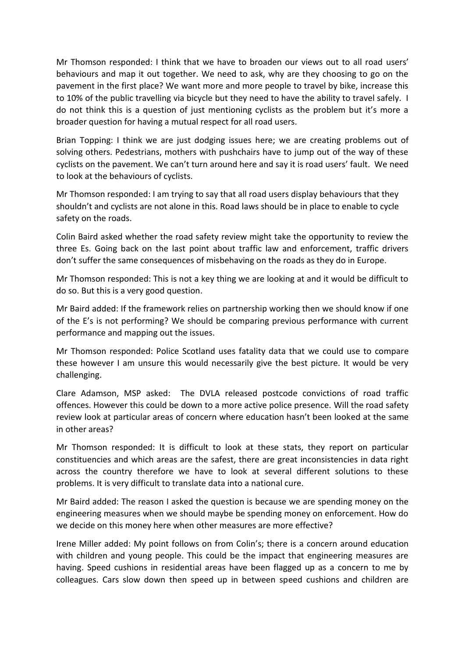Mr Thomson responded: I think that we have to broaden our views out to all road users' behaviours and map it out together. We need to ask, why are they choosing to go on the pavement in the first place? We want more and more people to travel by bike, increase this to 10% of the public travelling via bicycle but they need to have the ability to travel safely. I do not think this is a question of just mentioning cyclists as the problem but it's more a broader question for having a mutual respect for all road users.

Brian Topping: I think we are just dodging issues here; we are creating problems out of solving others. Pedestrians, mothers with pushchairs have to jump out of the way of these cyclists on the pavement. We can't turn around here and say it is road users' fault. We need to look at the behaviours of cyclists.

Mr Thomson responded: I am trying to say that all road users display behaviours that they shouldn't and cyclists are not alone in this. Road laws should be in place to enable to cycle safety on the roads.

Colin Baird asked whether the road safety review might take the opportunity to review the three Es. Going back on the last point about traffic law and enforcement, traffic drivers don't suffer the same consequences of misbehaving on the roads as they do in Europe.

Mr Thomson responded: This is not a key thing we are looking at and it would be difficult to do so. But this is a very good question.

Mr Baird added: If the framework relies on partnership working then we should know if one of the E's is not performing? We should be comparing previous performance with current performance and mapping out the issues.

Mr Thomson responded: Police Scotland uses fatality data that we could use to compare these however I am unsure this would necessarily give the best picture. It would be very challenging.

Clare Adamson, MSP asked: The DVLA released postcode convictions of road traffic offences. However this could be down to a more active police presence. Will the road safety review look at particular areas of concern where education hasn't been looked at the same in other areas?

Mr Thomson responded: It is difficult to look at these stats, they report on particular constituencies and which areas are the safest, there are great inconsistencies in data right across the country therefore we have to look at several different solutions to these problems. It is very difficult to translate data into a national cure.

Mr Baird added: The reason I asked the question is because we are spending money on the engineering measures when we should maybe be spending money on enforcement. How do we decide on this money here when other measures are more effective?

Irene Miller added: My point follows on from Colin's; there is a concern around education with children and young people. This could be the impact that engineering measures are having. Speed cushions in residential areas have been flagged up as a concern to me by colleagues. Cars slow down then speed up in between speed cushions and children are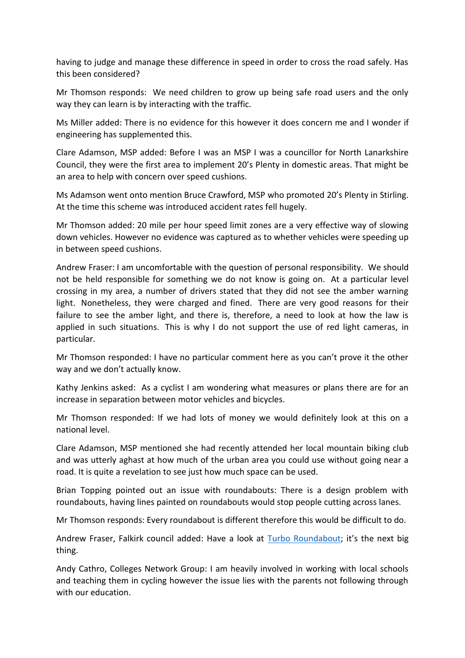having to judge and manage these difference in speed in order to cross the road safely. Has this been considered?

Mr Thomson responds: We need children to grow up being safe road users and the only way they can learn is by interacting with the traffic.

Ms Miller added: There is no evidence for this however it does concern me and I wonder if engineering has supplemented this.

Clare Adamson, MSP added: Before I was an MSP I was a councillor for North Lanarkshire Council, they were the first area to implement 20's Plenty in domestic areas. That might be an area to help with concern over speed cushions.

Ms Adamson went onto mention Bruce Crawford, MSP who promoted 20's Plenty in Stirling. At the time this scheme was introduced accident rates fell hugely.

Mr Thomson added: 20 mile per hour speed limit zones are a very effective way of slowing down vehicles. However no evidence was captured as to whether vehicles were speeding up in between speed cushions.

Andrew Fraser: I am uncomfortable with the question of personal responsibility. We should not be held responsible for something we do not know is going on. At a particular level crossing in my area, a number of drivers stated that they did not see the amber warning light. Nonetheless, they were charged and fined. There are very good reasons for their failure to see the amber light, and there is, therefore, a need to look at how the law is applied in such situations. This is why I do not support the use of red light cameras, in particular.

Mr Thomson responded: I have no particular comment here as you can't prove it the other way and we don't actually know.

Kathy Jenkins asked: As a cyclist I am wondering what measures or plans there are for an increase in separation between motor vehicles and bicycles.

Mr Thomson responded: If we had lots of money we would definitely look at this on a national level.

Clare Adamson, MSP mentioned she had recently attended her local mountain biking club and was utterly aghast at how much of the urban area you could use without going near a road. It is quite a revelation to see just how much space can be used.

Brian Topping pointed out an issue with roundabouts: There is a design problem with roundabouts, having lines painted on roundabouts would stop people cutting across lanes.

Mr Thomson responds: Every roundabout is different therefore this would be difficult to do.

Andrew Fraser, Falkirk council added: Have a look at [Turbo Roundabout](http://www.turboroundabout.com/); it's the next big thing.

Andy Cathro, Colleges Network Group: I am heavily involved in working with local schools and teaching them in cycling however the issue lies with the parents not following through with our education.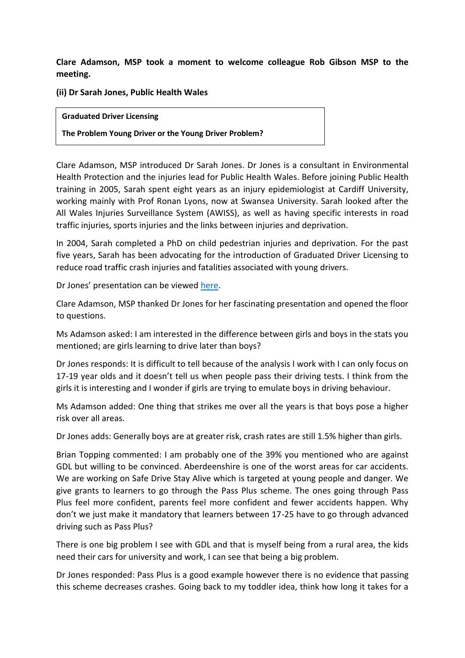**Clare Adamson, MSP took a moment to welcome colleague Rob Gibson MSP to the meeting.** 

**(ii) Dr Sarah Jones, Public Health Wales**

#### **Graduated Driver Licensing**

**The Problem Young Driver or the Young Driver Problem?**

Clare Adamson, MSP introduced Dr Sarah Jones. Dr Jones is a consultant in Environmental Health Protection and the injuries lead for Public Health Wales. Before joining Public Health training in 2005, Sarah spent eight years as an injury epidemiologist at Cardiff University, working mainly with Prof Ronan Lyons, now at Swansea University. Sarah looked after the All Wales Injuries Surveillance System (AWISS), as well as having specific interests in road traffic injuries, sports injuries and the links between injuries and deprivation.

In 2004, Sarah completed a PhD on child pedestrian injuries and deprivation. For the past five years, Sarah has been advocating for the introduction of Graduated Driver Licensing to reduce road traffic crash injuries and fatalities associated with young drivers.

Dr Jones' presentation can be viewed [here.](http://www.rospa.com/about/around-the-uk/scotland/cross-party-group/)

Clare Adamson, MSP thanked Dr Jones for her fascinating presentation and opened the floor to questions.

Ms Adamson asked: I am interested in the difference between girls and boys in the stats you mentioned; are girls learning to drive later than boys?

Dr Jones responds: It is difficult to tell because of the analysis I work with I can only focus on 17-19 year olds and it doesn't tell us when people pass their driving tests. I think from the girls it is interesting and I wonder if girls are trying to emulate boys in driving behaviour.

Ms Adamson added: One thing that strikes me over all the years is that boys pose a higher risk over all areas.

Dr Jones adds: Generally boys are at greater risk, crash rates are still 1.5% higher than girls.

Brian Topping commented: I am probably one of the 39% you mentioned who are against GDL but willing to be convinced. Aberdeenshire is one of the worst areas for car accidents. We are working on Safe Drive Stay Alive which is targeted at young people and danger. We give grants to learners to go through the Pass Plus scheme. The ones going through Pass Plus feel more confident, parents feel more confident and fewer accidents happen. Why don't we just make it mandatory that learners between 17-25 have to go through advanced driving such as Pass Plus?

There is one big problem I see with GDL and that is myself being from a rural area, the kids need their cars for university and work, I can see that being a big problem.

Dr Jones responded: Pass Plus is a good example however there is no evidence that passing this scheme decreases crashes. Going back to my toddler idea, think how long it takes for a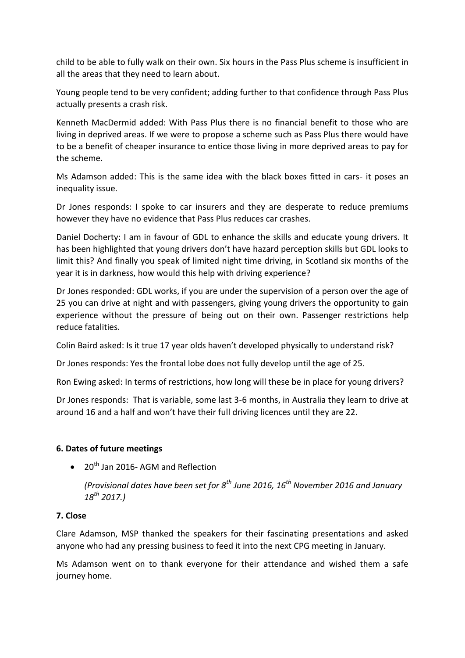child to be able to fully walk on their own. Six hours in the Pass Plus scheme is insufficient in all the areas that they need to learn about.

Young people tend to be very confident; adding further to that confidence through Pass Plus actually presents a crash risk.

Kenneth MacDermid added: With Pass Plus there is no financial benefit to those who are living in deprived areas. If we were to propose a scheme such as Pass Plus there would have to be a benefit of cheaper insurance to entice those living in more deprived areas to pay for the scheme.

Ms Adamson added: This is the same idea with the black boxes fitted in cars- it poses an inequality issue.

Dr Jones responds: I spoke to car insurers and they are desperate to reduce premiums however they have no evidence that Pass Plus reduces car crashes.

Daniel Docherty: I am in favour of GDL to enhance the skills and educate young drivers. It has been highlighted that young drivers don't have hazard perception skills but GDL looks to limit this? And finally you speak of limited night time driving, in Scotland six months of the year it is in darkness, how would this help with driving experience?

Dr Jones responded: GDL works, if you are under the supervision of a person over the age of 25 you can drive at night and with passengers, giving young drivers the opportunity to gain experience without the pressure of being out on their own. Passenger restrictions help reduce fatalities.

Colin Baird asked: Is it true 17 year olds haven't developed physically to understand risk?

Dr Jones responds: Yes the frontal lobe does not fully develop until the age of 25.

Ron Ewing asked: In terms of restrictions, how long will these be in place for young drivers?

Dr Jones responds: That is variable, some last 3-6 months, in Australia they learn to drive at around 16 and a half and won't have their full driving licences until they are 22.

# **6. Dates of future meetings**

 $\bullet$  20<sup>th</sup> Jan 2016- AGM and Reflection

*(Provisional dates have been set for 8th June 2016, 16th November 2016 and January 18th 2017.)*

# **7. Close**

Clare Adamson, MSP thanked the speakers for their fascinating presentations and asked anyone who had any pressing business to feed it into the next CPG meeting in January.

Ms Adamson went on to thank everyone for their attendance and wished them a safe journey home.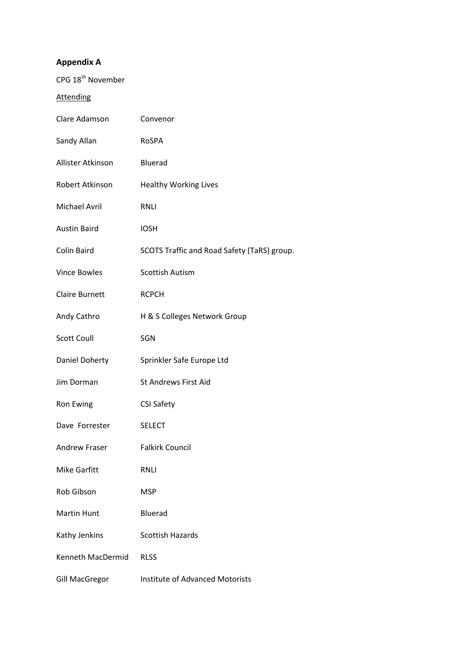# **Appendix A**

| CPG 18 <sup>th</sup> November |                                             |
|-------------------------------|---------------------------------------------|
| <b>Attending</b>              |                                             |
| Clare Adamson                 | Convenor                                    |
| Sandy Allan                   | RoSPA                                       |
| Allister Atkinson             | Bluerad                                     |
| Robert Atkinson               | <b>Healthy Working Lives</b>                |
| Michael Avril                 | <b>RNLI</b>                                 |
| <b>Austin Baird</b>           | <b>IOSH</b>                                 |
| Colin Baird                   | SCOTS Traffic and Road Safety (TaRS) group. |
| <b>Vince Bowles</b>           | <b>Scottish Autism</b>                      |
| <b>Claire Burnett</b>         | <b>RCPCH</b>                                |
| Andy Cathro                   | H & S Colleges Network Group                |
| <b>Scott Coull</b>            | SGN                                         |
| Daniel Doherty                | Sprinkler Safe Europe Ltd                   |
| Jim Dorman                    | <b>St Andrews First Aid</b>                 |
| Ron Ewing                     | <b>CSI Safety</b>                           |
| Dave Forrester                | <b>SELECT</b>                               |
| <b>Andrew Fraser</b>          | <b>Falkirk Council</b>                      |
| <b>Mike Garfitt</b>           | RNLI                                        |
| Rob Gibson                    | <b>MSP</b>                                  |
| <b>Martin Hunt</b>            | <b>Bluerad</b>                              |
| Kathy Jenkins                 | <b>Scottish Hazards</b>                     |
| Kenneth MacDermid             | <b>RLSS</b>                                 |
| <b>Gill MacGregor</b>         | <b>Institute of Advanced Motorists</b>      |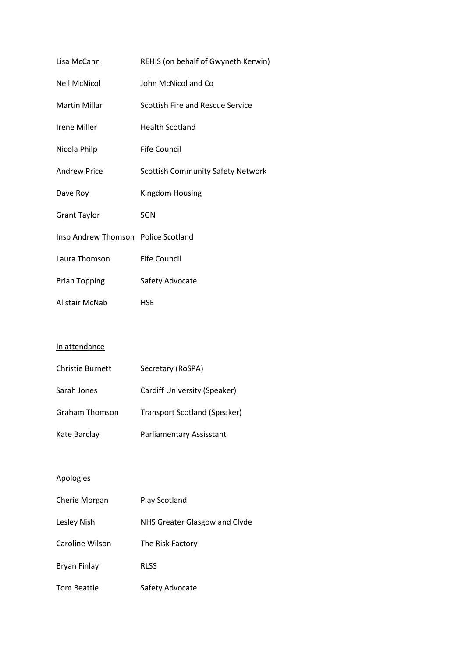| Lisa McCann                         | REHIS (on behalf of Gwyneth Kerwin)      |
|-------------------------------------|------------------------------------------|
| <b>Neil McNicol</b>                 | John McNicol and Co                      |
| <b>Martin Millar</b>                | Scottish Fire and Rescue Service         |
| Irene Miller                        | <b>Health Scotland</b>                   |
| Nicola Philp                        | Fife Council                             |
| Andrew Price                        | <b>Scottish Community Safety Network</b> |
| Dave Roy                            | Kingdom Housing                          |
| <b>Grant Taylor</b>                 | SGN                                      |
| Insp Andrew Thomson Police Scotland |                                          |
| Laura Thomson                       | Fife Council                             |
| <b>Brian Topping</b>                | Safety Advocate                          |
| Alistair McNab                      | HSE                                      |

#### In attendance

| <b>Christie Burnett</b> | Secretary (RoSPA)            |
|-------------------------|------------------------------|
| Sarah Jones             | Cardiff University (Speaker) |
| <b>Graham Thomson</b>   | Transport Scotland (Speaker) |
| Kate Barclay            | Parliamentary Assisstant     |

# Apologies

| Cherie Morgan   | Play Scotland                 |
|-----------------|-------------------------------|
| Lesley Nish     | NHS Greater Glasgow and Clyde |
| Caroline Wilson | The Risk Factory              |
| Bryan Finlay    | <b>RLSS</b>                   |
| Tom Beattie     | Safety Advocate               |